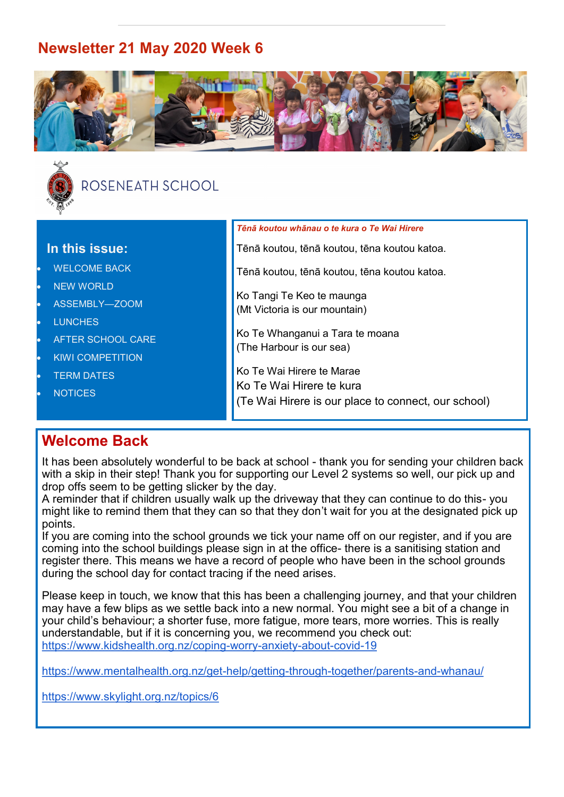# **Newsletter 21 May 2020 Week 6**





# ROSENEATH SCHOOL

|                                      | Tēnā koutou whānau o te kura o Te Wai Hirere        |
|--------------------------------------|-----------------------------------------------------|
| In this issue:                       | Tēnā koutou, tēnā koutou, tēna koutou katoa.        |
| <b>WELCOME BACK</b><br>$\bullet$     | Tēnā koutou, tēnā koutou, tēna koutou katoa.        |
| <b>NEW WORLD</b><br>$\bullet$        | Ko Tangi Te Keo te maunga                           |
| ASSEMBLY-ZOOM<br>$\bullet$           | (Mt Victoria is our mountain)                       |
| <b>LUNCHES</b><br>$\bullet$          |                                                     |
| AFTER SCHOOL CARE<br>$\bullet$       | Ko Te Whanganui a Tara te moana                     |
| <b>KIWI COMPETITION</b><br>$\bullet$ | (The Harbour is our sea)                            |
| <b>TERM DATES</b><br>$\bullet$       | Ko Te Wai Hirere te Marae                           |
| <b>NOTICES</b><br>$\bullet$          | Ko Te Wai Hirere te kura                            |
|                                      | (Te Wai Hirere is our place to connect, our school) |
|                                      |                                                     |

# **Welcome Back**

It has been absolutely wonderful to be back at school - thank you for sending your children back with a skip in their step! Thank you for supporting our Level 2 systems so well, our pick up and drop offs seem to be getting slicker by the day.

A reminder that if children usually walk up the driveway that they can continue to do this- you might like to remind them that they can so that they don't wait for you at the designated pick up points.

If you are coming into the school grounds we tick your name off on our register, and if you are coming into the school buildings please sign in at the office- there is a sanitising station and register there. This means we have a record of people who have been in the school grounds during the school day for contact tracing if the need arises.

Please keep in touch, we know that this has been a challenging journey, and that your children may have a few blips as we settle back into a new normal. You might see a bit of a change in your child's behaviour; a shorter fuse, more fatigue, more tears, more worries. This is really understandable, but if it is concerning you, we recommend you check out: [https://www.kidshealth.org.nz/coping](https://www.kidshealth.org.nz/coping-worry-anxiety-about-covid-19)-worry-anxiety-about-covid-19

[https://www.mentalhealth.org.nz/get](https://www.mentalhealth.org.nz/get-help/getting-through-together/parents-and-whanau/)-help/getting-through-together/parents-and-whanau/

<https://www.skylight.org.nz/topics/6>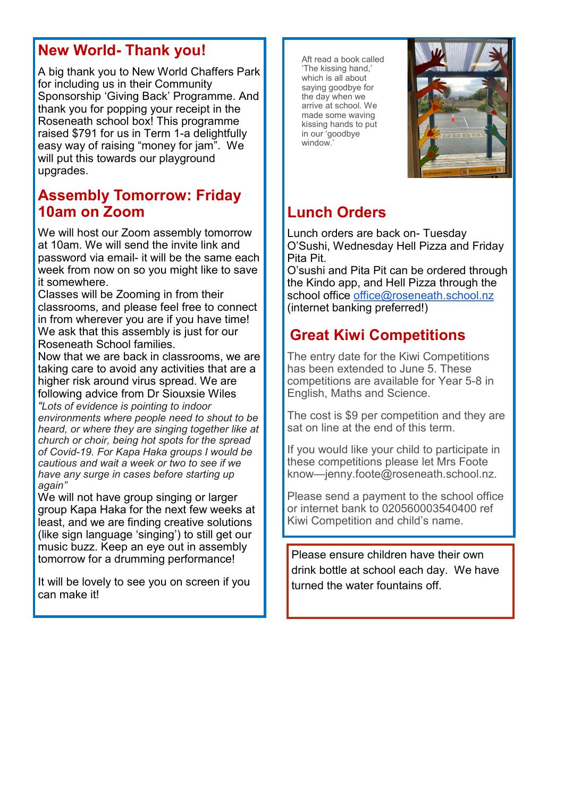# **New World- Thank you!**

A big thank you to New World Chaffers Park for including us in their Community Sponsorship 'Giving Back' Programme. And thank you for popping your receipt in the Roseneath school box! This programme raised \$791 for us in Term 1-a delightfully easy way of raising "money for jam". We will put this towards our playground upgrades.

## **Assembly Tomorrow: Friday 10am on Zoom**

We will host our Zoom assembly tomorrow at 10am. We will send the invite link and password via email- it will be the same each week from now on so you might like to save it somewhere.

Classes will be Zooming in from their classrooms, and please feel free to connect in from wherever you are if you have time! We ask that this assembly is just for our Roseneath School families.

Now that we are back in classrooms, we are taking care to avoid any activities that are a higher risk around virus spread. We are following advice from Dr Siouxsie Wiles

*"Lots of evidence is pointing to indoor environments where people need to shout to be heard, or where they are singing together like at church or choir, being hot spots for the spread of Covid-19. For Kapa Haka groups I would be cautious and wait a week or two to see if we have any surge in cases before starting up again"*

We will not have group singing or larger group Kapa Haka for the next few weeks at least, and we are finding creative solutions (like sign language 'singing') to still get our music buzz. Keep an eye out in assembly tomorrow for a drumming performance!

It will be lovely to see you on screen if you can make it!

Aft read a book called 'The kissing hand,' which is all about saying goodbye for the day when we arrive at school. We made some waving kissing hands to put in our 'goodbye window.'



# **Lunch Orders**

Lunch orders are back on- Tuesday O'Sushi, Wednesday Hell Pizza and Friday Pita Pit.

O'sushi and Pita Pit can be ordered through the Kindo app, and Hell Pizza through the school office [office@roseneath.school.nz](mailto:office@roseneath.school.nz) (internet banking preferred!)

# **Great Kiwi Competitions**

The entry date for the Kiwi Competitions has been extended to June 5. These competitions are available for Year 5-8 in English, Maths and Science.

The cost is \$9 per competition and they are sat on line at the end of this term.

If you would like your child to participate in these competitions please let Mrs Foote know—jenny.foote@roseneath.school.nz.

Please send a payment to the school office or internet bank to 020560003540400 ref Kiwi Competition and child's name.

Please ensure children have their own drink bottle at school each day. We have turned the water fountains off.